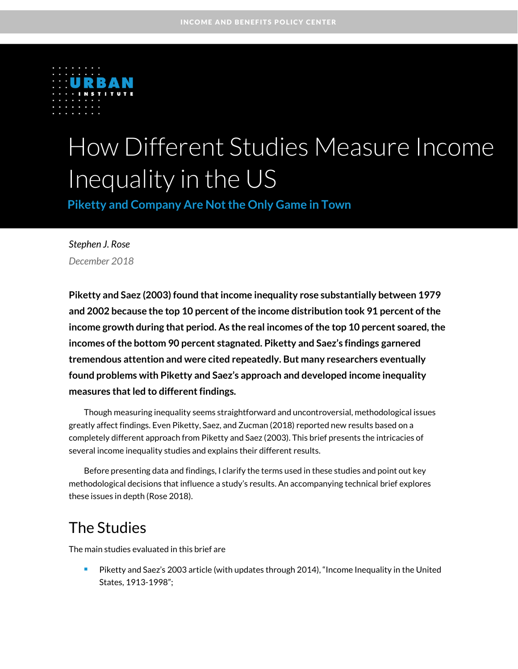

# How Different Studies Measure Income Inequality in the US

**Piketty and Company Are Not the Only Game in Town** 

*Stephen J. Rose December 2018*

**Piketty and Saez (2003) found that income inequality rose substantially between 1979 and 2002 because the top 10 percent of the income distribution took 91 percent of the income growth during that period. As the real incomes of the top 10 percent soared, the incomes of the bottom 90 percent stagnated. Piketty and Saez's findings garnered tremendous attention and were cited repeatedly. But many researchers eventually found problems with Piketty and Saez's approach and developed income inequality measures that led to different findings.** 

Though measuring inequality seems straightforward and uncontroversial, methodological issues greatly affect findings. Even Piketty, Saez, and Zucman (2018) reported new results based on a completely different approach from Piketty and Saez (2003). This brief presents the intricacies of several income inequality studies and explains their different results.

Before presenting data and findings, I clarify the terms used in these studies and point out key methodological decisions that influence a study's results. An accompanying technical brief explores these issues in depth (Rose 2018).

### The Studies

The main studies evaluated in this brief are

**Piketty and Saez's 2003 article (with updates through 2014), "Income Inequality in the United** States, 1913-1998";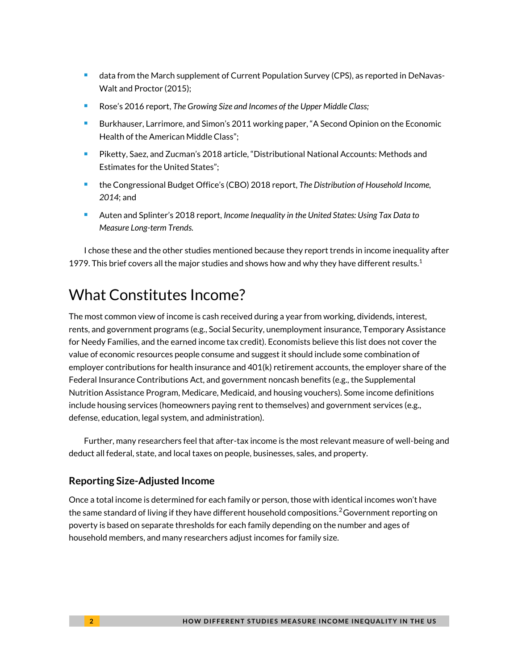- **data from the March supplement of Current Population Survey (CPS), as reported in DeNavas-**Walt and Proctor (2015);
- Rose's 2016 report, *The Growing Size and Incomes of the Upper Middle Class;*
- **Burkhauser, Larrimore, and Simon's 2011 working paper, "A Second Opinion on the Economic** Health of the American Middle Class";
- Piketty, Saez, and Zucman's 2018 article, "Distributional National Accounts: Methods and Estimates for the United States";
- the Congressional Budget Office's (CBO) 2018 report, *The Distribution of Household Income, 2014*; and
- Auten and Splinter's 2018 report, *Income Inequality in the United States: Using Tax Data to Measure Long-term Trends.*

I chose these and the other studies mentioned because they report trends in income inequality after 1979. This brief covers all the major studies and shows how and why they have different results. $1$ 

# What Constitutes Income?

The most common view of income is cash received during a year from working, dividends, interest, rents, and government programs (e.g., Social Security, unemployment insurance, Temporary Assistance for Needy Families, and the earned income tax credit). Economists believe this list does not cover the value of economic resources people consume and suggest it should include some combination of employer contributions for health insurance and 401(k) retirement accounts, the employer share of the Federal Insurance Contributions Act, and government noncash benefits (e.g., the Supplemental Nutrition Assistance Program, Medicare, Medicaid, and housing vouchers). Some income definitions include housing services (homeowners paying rent to themselves) and government services (e.g., defense, education, legal system, and administration).

Further, many researchers feel that after-tax income is the most relevant measure of well-being and deduct all federal, state, and local taxes on people, businesses, sales, and property.

#### **Reporting Size-Adjusted Income**

Once a total income is determined for each family or person, those with identical incomes won't have the same standard of living if they have different household compositions. $^2$ Government reporting on poverty is based on separate thresholds for each family depending on the number and ages of household members, and many researchers adjust incomes for family size.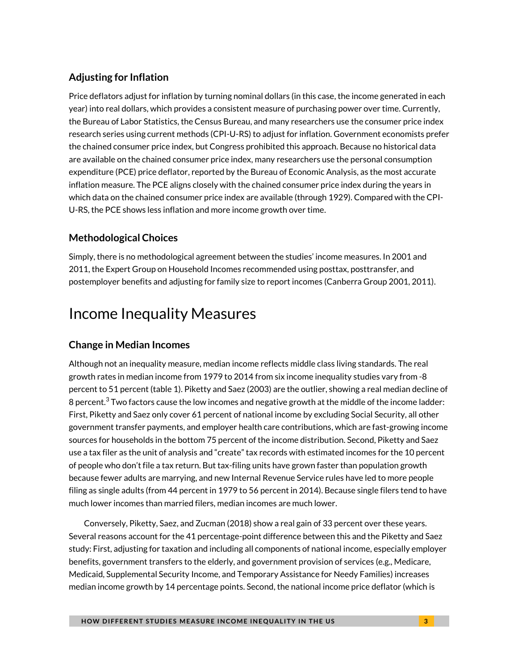#### **Adjusting for Inflation**

Price deflators adjust for inflation by turning nominal dollars (in this case, the income generated in each year) into real dollars, which provides a consistent measure of purchasing power over time. Currently, the Bureau of Labor Statistics, the Census Bureau, and many researchers use the consumer price index research series using current methods (CPI-U-RS) to adjust for inflation. Government economists prefer the chained consumer price index, but Congress prohibited this approach. Because no historical data are available on the chained consumer price index, many researchers use the personal consumption expenditure (PCE) price deflator, reported by the Bureau of Economic Analysis, as the most accurate inflation measure. The PCE aligns closely with the chained consumer price index during the years in which data on the chained consumer price index are available (through 1929). Compared with the CPI-U-RS, the PCE shows less inflation and more income growth over time.

#### **Methodological Choices**

Simply, there is no methodological agreement between the studies' income measures. In 2001 and 2011, the Expert Group on Household Incomes recommended using posttax, posttransfer, and postemployer benefits and adjusting for family size to report incomes (Canberra Group 2001, 2011).

## Income Inequality Measures

#### **Change in Median Incomes**

Although not an inequality measure, median income reflects middle class living standards. The real growth rates in median income from 1979 to 2014 from six income inequality studies vary from -8 percent to 51 percent (table 1). Piketty and Saez (2003) are the outlier, showing a real median decline of 8 percent. $3$  Two factors cause the low incomes and negative growth at the middle of the income ladder: First, Piketty and Saez only cover 61 percent of national income by excluding Social Security, all other government transfer payments, and employer health care contributions, which are fast-growing income sources for households in the bottom 75 percent of the income distribution. Second, Piketty and Saez use a tax filer as the unit of analysis and "create" tax records with estimated incomes for the 10 percent of people who don't file a tax return. But tax-filing units have grown faster than population growth because fewer adults are marrying, and new Internal Revenue Service rules have led to more people filing as single adults (from 44 percent in 1979 to 56 percent in 2014). Because single filers tend to have much lower incomes than married filers, median incomes are much lower.

Conversely, Piketty, Saez, and Zucman (2018) show a real gain of 33 percent over these years. Several reasons account for the 41 percentage-point difference between this and the Piketty and Saez study: First, adjusting for taxation and including all components of national income, especially employer benefits, government transfers to the elderly, and government provision of services (e.g., Medicare, Medicaid, Supplemental Security Income, and Temporary Assistance for Needy Families) increases median income growth by 14 percentage points. Second, the national income price deflator (which is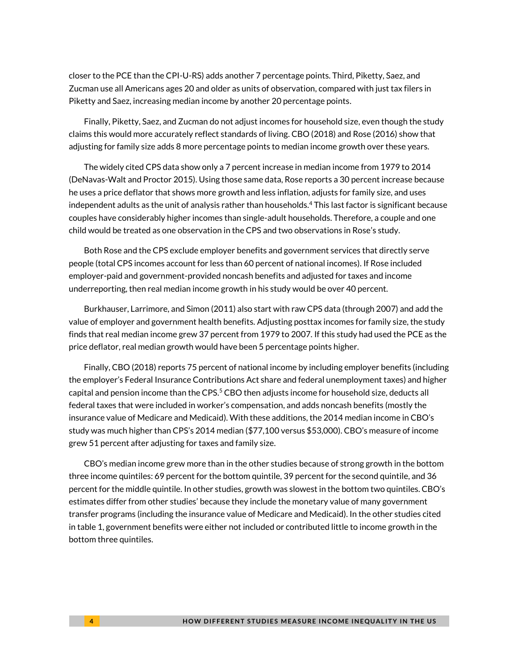closer to the PCE than the CPI-U-RS) adds another 7 percentage points. Third, Piketty, Saez, and Zucman use all Americans ages 20 and older as units of observation, compared with just tax filers in Piketty and Saez, increasing median income by another 20 percentage points.

Finally, Piketty, Saez, and Zucman do not adjust incomes for household size, even though the study claims this would more accurately reflect standards of living. CBO (2018) and Rose (2016) show that adjusting for family size adds 8 more percentage points to median income growth over these years.

The widely cited CPS data show only a 7 percent increase in median income from 1979 to 2014 (DeNavas-Walt and Proctor 2015). Using those same data, Rose reports a 30 percent increase because he uses a price deflator that shows more growth and less inflation, adjusts for family size, and uses independent adults as the unit of analysis rather than households. <sup>4</sup> This last factor is significant because couples have considerably higher incomes than single-adult households. Therefore, a couple and one child would be treated as one observation in the CPS and two observations in Rose's study.

Both Rose and the CPS exclude employer benefits and government services that directly serve people (total CPS incomes account for less than 60 percent of national incomes). If Rose included employer-paid and government-provided noncash benefits and adjusted for taxes and income underreporting, then real median income growth in his study would be over 40 percent.

Burkhauser, Larrimore, and Simon (2011) also start with raw CPS data (through 2007) and add the value of employer and government health benefits. Adjusting posttax incomes for family size, the study finds that real median income grew 37 percent from 1979 to 2007. If this study had used the PCE as the price deflator, real median growth would have been 5 percentage points higher.

Finally, CBO (2018) reports 75 percent of national income by including employer benefits (including the employer's Federal Insurance Contributions Act share and federal unemployment taxes) and higher capital and pension income than the CPS.<sup>5</sup> CBO then adjusts income for household size, deducts all federal taxes that were included in worker's compensation, and adds noncash benefits (mostly the insurance value of Medicare and Medicaid). With these additions, the 2014 median income in CBO's study was much higher than CPS's 2014 median (\$77,100 versus \$53,000). CBO's measure of income grew 51 percent after adjusting for taxes and family size.

CBO's median income grew more than in the other studies because of strong growth in the bottom three income quintiles: 69 percent for the bottom quintile, 39 percent for the second quintile, and 36 percent for the middle quintile. In other studies, growth was slowest in the bottom two quintiles. CBO's estimates differ from other studies' because they include the monetary value of many government transfer programs (including the insurance value of Medicare and Medicaid). In the other studies cited in table 1, government benefits were either not included or contributed little to income growth in the bottom three quintiles.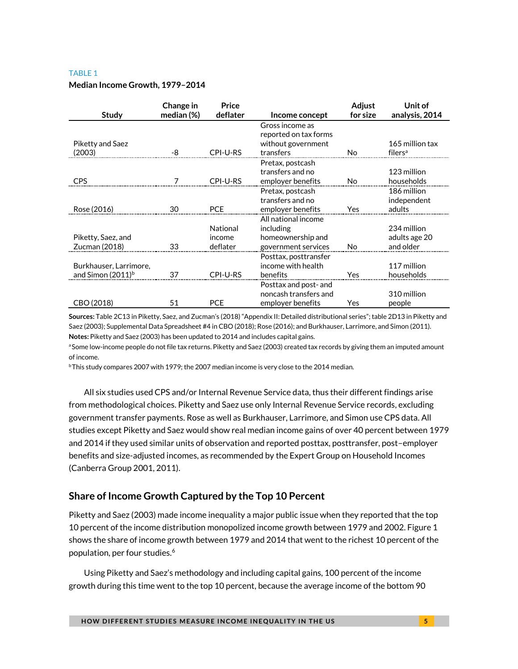#### TABLE 1

#### **Median Income Growth, 1979–2014**

| <b>Study</b>                  | Change in<br>median $(\%)$ | Price<br>deflater | Income concept                           | Adjust<br>for size | Unit of<br>analysis, 2014 |
|-------------------------------|----------------------------|-------------------|------------------------------------------|--------------------|---------------------------|
|                               |                            |                   | Gross income as<br>reported on tax forms |                    |                           |
| Piketty and Saez              |                            |                   | without government                       |                    | 165 million tax           |
| (2003)                        | -8                         | CPI-U-RS          | transfers                                | No                 | filers <sup>a</sup>       |
|                               |                            |                   | Pretax, postcash                         |                    |                           |
|                               |                            |                   | transfers and no                         |                    | 123 million               |
| CPS                           |                            | CPI-U-RS          | employer benefits                        | <b>No</b>          | households                |
|                               |                            |                   | Pretax, postcash                         |                    | 186 million               |
|                               |                            |                   | transfers and no                         |                    | independent               |
| Rose (2016)                   | 30                         | <b>PCE</b>        | employer benefits                        | Yes                | adults                    |
|                               |                            |                   | All national income                      |                    |                           |
|                               |                            | National          | including                                |                    | 234 million               |
| Piketty, Saez, and            |                            | income            | homeownership and                        |                    | adults age 20             |
| Zucman (2018)                 | 33                         | deflater          | government services                      | No                 | and older                 |
|                               |                            |                   | Posttax, posttransfer                    |                    |                           |
| Burkhauser, Larrimore,        |                            |                   | income with health                       |                    | 117 million               |
| and Simon (2011) <sup>b</sup> | 37                         | CPI-U-RS          | benefits                                 | Yes                | households                |
|                               |                            |                   | Posttax and post- and                    |                    |                           |
|                               |                            |                   | noncash transfers and                    |                    | 310 million               |
| CBO (2018)                    | 51                         | <b>PCE</b>        | employer benefits                        | Yes                | people                    |

**Sources:** Table 2C13 in Piketty, Saez, and Zucman's (2018) "Appendix II: Detailed distributional series"; table 2D13 in Piketty and Saez (2003); Supplemental Data Spreadsheet #4 in CBO (2018); Rose (2016); and Burkhauser, Larrimore, and Simon (2011). **Notes:** Piketty and Saez (2003) has been updated to 2014 and includes capital gains.

aSome low-income people do not file tax returns. Piketty and Saez (2003) created tax records by giving them an imputed amount of income.

**bThis study compares 2007 with 1979; the 2007 median income is very close to the 2014 median.** 

All six studies used CPS and/or Internal Revenue Service data, thus their different findings arise from methodological choices. Piketty and Saez use only Internal Revenue Service records, excluding government transfer payments. Rose as well as Burkhauser, Larrimore, and Simon use CPS data. All studies except Piketty and Saez would show real median income gains of over 40 percent between 1979 and 2014 if they used similar units of observation and reported posttax, posttransfer, post–employer benefits and size-adjusted incomes, as recommended by the Expert Group on Household Incomes (Canberra Group 2001, 2011).

#### **Share of Income Growth Captured by the Top 10 Percent**

Piketty and Saez (2003) made income inequality a major public issue when they reported that the top 10 percent of the income distribution monopolized income growth between 1979 and 2002. Figure 1 shows the share of income growth between 1979 and 2014 that went to the richest 10 percent of the population, per four studies.<sup>6</sup>

Using Piketty and Saez's methodology and including capital gains, 100 percent of the income growth during this time went to the top 10 percent, because the average income of the bottom 90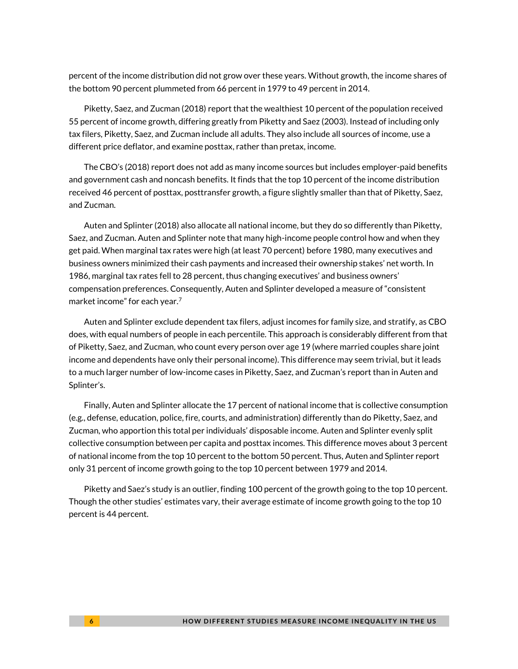percent of the income distribution did not grow over these years. Without growth, the income shares of the bottom 90 percent plummeted from 66 percent in 1979 to 49 percent in 2014.

Piketty, Saez, and Zucman (2018) report that the wealthiest 10 percent of the population received 55 percent of income growth, differing greatly from Piketty and Saez (2003). Instead of including only tax filers, Piketty, Saez, and Zucman include all adults. They also include all sources of income, use a different price deflator, and examine posttax, rather than pretax, income.

The CBO's (2018) report does not add as many income sources but includes employer-paid benefits and government cash and noncash benefits. It finds that the top 10 percent of the income distribution received 46 percent of posttax, posttransfer growth, a figure slightly smaller than that of Piketty, Saez, and Zucman.

Auten and Splinter (2018) also allocate all national income, but they do so differently than Piketty, Saez, and Zucman. Auten and Splinter note that many high-income people control how and when they get paid. When marginal tax rates were high (at least 70 percent) before 1980, many executives and business owners minimized their cash payments and increased their ownership stakes' net worth. In 1986, marginal tax rates fell to 28 percent, thus changing executives' and business owners' compensation preferences. Consequently, Auten and Splinter developed a measure of "consistent market income" for each year. $7$ 

Auten and Splinter exclude dependent tax filers, adjust incomes for family size, and stratify, as CBO does, with equal numbers of people in each percentile. This approach is considerably different from that of Piketty, Saez, and Zucman, who count every person over age 19 (where married couples share joint income and dependents have only their personal income). This difference may seem trivial, but it leads to a much larger number of low-income cases in Piketty, Saez, and Zucman's report than in Auten and Splinter's.

Finally, Auten and Splinter allocate the 17 percent of national income that is collective consumption (e.g., defense, education, police, fire, courts, and administration) differently than do Piketty, Saez, and Zucman, who apportion this total per individuals' disposable income. Auten and Splinter evenly split collective consumption between per capita and posttax incomes. This difference moves about 3 percent of national income from the top 10 percent to the bottom 50 percent. Thus, Auten and Splinter report only 31 percent of income growth going to the top 10 percent between 1979 and 2014.

Piketty and Saez's study is an outlier, finding 100 percent of the growth going to the top 10 percent. Though the other studies' estimates vary, their average estimate of income growth going to the top 10 percent is 44 percent.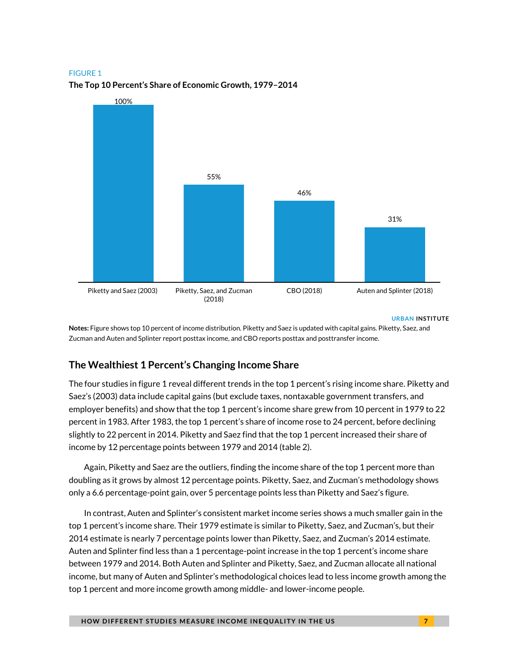#### FIGURE 1



#### **The Top 10 Percent's Share of Economic Growth, 1979–2014**

**URBAN INSTITUTE**

**Notes:** Figure shows top 10 percent of income distribution. Piketty and Saez is updated with capital gains. Piketty, Saez, and Zucman and Auten and Splinter report posttax income, and CBO reports posttax and posttransfer income.

#### **The Wealthiest 1 Percent's Changing Income Share**

The four studies in figure 1 reveal different trends in the top 1 percent's rising income share. Piketty and Saez's (2003) data include capital gains (but exclude taxes, nontaxable government transfers, and employer benefits) and show that the top 1 percent's income share grew from 10 percent in 1979 to 22 percent in 1983. After 1983, the top 1 percent's share of income rose to 24 percent, before declining slightly to 22 percent in 2014. Piketty and Saez find that the top 1 percent increased their share of income by 12 percentage points between 1979 and 2014 (table 2).

Again, Piketty and Saez are the outliers, finding the income share of the top 1 percent more than doubling as it grows by almost 12 percentage points. Piketty, Saez, and Zucman's methodology shows only a 6.6 percentage-point gain, over 5 percentage points less than Piketty and Saez's figure.

In contrast, Auten and Splinter's consistent market income series shows a much smaller gain in the top 1 percent's income share. Their 1979 estimate is similar to Piketty, Saez, and Zucman's, but their 2014 estimate is nearly 7 percentage points lower than Piketty, Saez, and Zucman's 2014 estimate. Auten and Splinter find less than a 1 percentage-point increase in the top 1 percent's income share between 1979 and 2014. Both Auten and Splinter and Piketty, Saez, and Zucman allocate all national income, but many of Auten and Splinter's methodological choices lead to less income growth among the top 1 percent and more income growth among middle- and lower-income people.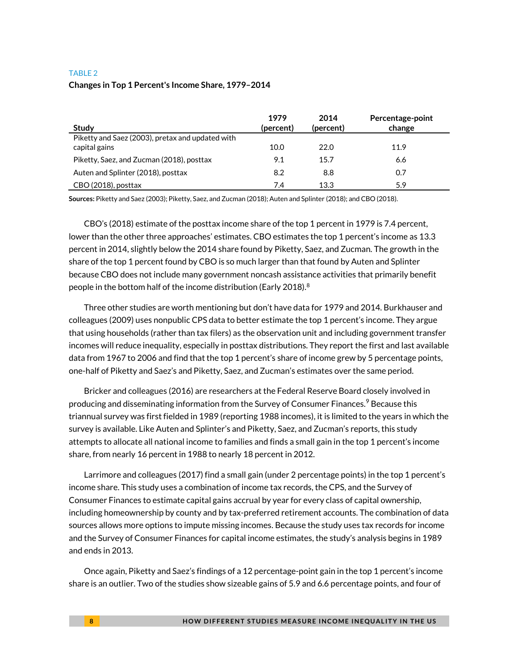#### TABLE 2

#### **Changes in Top 1 Percent's Income Share, 1979–2014**

| <b>Study</b>                                                      | 1979<br>(percent) | 2014<br>(percent) | Percentage-point<br>change |
|-------------------------------------------------------------------|-------------------|-------------------|----------------------------|
| Piketty and Saez (2003), pretax and updated with<br>capital gains | 10.0              | 22.0              | 11.9                       |
| Piketty, Saez, and Zucman (2018), posttax                         | 9.1               | 15.7              | 6.6                        |
| Auten and Splinter (2018), posttax                                | 8.2               | 8.8               | 0.7                        |
| CBO (2018), posttax                                               | 7.4               | 13.3              | 5.9                        |

**Sources:** Piketty and Saez (2003); Piketty, Saez, and Zucman (2018); Auten and Splinter (2018); and CBO (2018).

CBO's (2018) estimate of the posttax income share of the top 1 percent in 1979 is 7.4 percent, lower than the other three approaches' estimates. CBO estimates the top 1 percent's income as 13.3 percent in 2014, slightly below the 2014 share found by Piketty, Saez, and Zucman. The growth in the share of the top 1 percent found by CBO is so much larger than that found by Auten and Splinter because CBO does not include many government noncash assistance activities that primarily benefit people in the bottom half of the income distribution (Early 2018).<sup>8</sup>

Three other studies are worth mentioning but don't have data for 1979 and 2014. Burkhauser and colleagues (2009) uses nonpublic CPS data to better estimate the top 1 percent's income. They argue that using households (rather than tax filers) as the observation unit and including government transfer incomes will reduce inequality, especially in posttax distributions. They report the first and last available data from 1967 to 2006 and find that the top 1 percent's share of income grew by 5 percentage points, one-half of Piketty and Saez's and Piketty, Saez, and Zucman's estimates over the same period.

Bricker and colleagues (2016) are researchers at the Federal Reserve Board closely involved in producing and disseminating information from the Survey of Consumer Finances.<sup>9</sup> Because this triannual survey was first fielded in 1989 (reporting 1988 incomes), it is limited to the years in which the survey is available. Like Auten and Splinter's and Piketty, Saez, and Zucman's reports, this study attempts to allocate all national income to families and finds a small gain in the top 1 percent's income share, from nearly 16 percent in 1988 to nearly 18 percent in 2012.

Larrimore and colleagues (2017) find a small gain (under 2 percentage points) in the top 1 percent's income share. This study uses a combination of income tax records, the CPS, and the Survey of Consumer Finances to estimate capital gains accrual by year for every class of capital ownership, including homeownership by county and by tax-preferred retirement accounts. The combination of data sources allows more options to impute missing incomes. Because the study uses tax records for income and the Survey of Consumer Finances for capital income estimates, the study's analysis begins in 1989 and ends in 2013.

Once again, Piketty and Saez's findings of a 12 percentage-point gain in the top 1 percent's income share is an outlier. Two of the studies show sizeable gains of 5.9 and 6.6 percentage points, and four of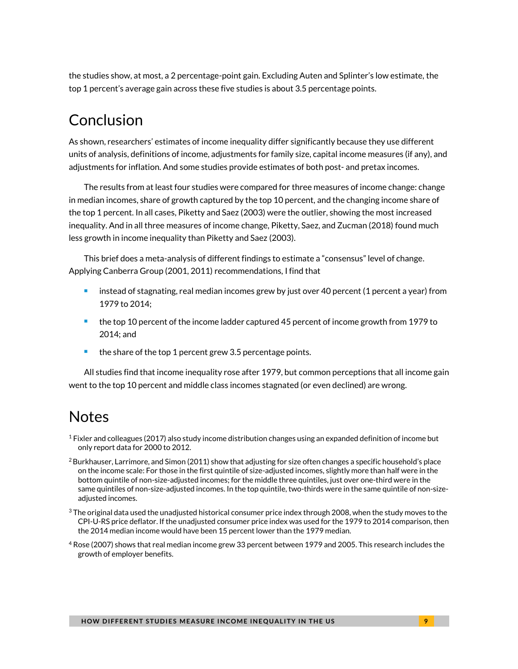the studies show, at most, a 2 percentage-point gain. Excluding Auten and Splinter's low estimate, the top 1 percent's average gain across these five studies is about 3.5 percentage points.

## Conclusion

As shown, researchers' estimates of income inequality differ significantly because they use different units of analysis, definitions of income, adjustments for family size, capital income measures (if any), and adjustments for inflation. And some studies provide estimates of both post- and pretax incomes.

The results from at least four studies were compared for three measures of income change: change in median incomes, share of growth captured by the top 10 percent, and the changing income share of the top 1 percent. In all cases, Piketty and Saez (2003) were the outlier, showing the most increased inequality. And in all three measures of income change, Piketty, Saez, and Zucman (2018) found much less growth in income inequality than Piketty and Saez (2003).

This brief does a meta-analysis of different findings to estimate a "consensus" level of change. Applying Canberra Group (2001, 2011) recommendations, I find that

- instead of stagnating, real median incomes grew by just over 40 percent (1 percent a year) from 1979 to 2014;
- **the top 10 percent of the income ladder captured 45 percent of income growth from 1979 to** 2014; and
- the share of the top 1 percent grew 3.5 percentage points.

All studies find that income inequality rose after 1979, but common perceptions that all income gain went to the top 10 percent and middle class incomes stagnated (or even declined) are wrong.

### **Notes**

- $1$  Fixler and colleagues (2017) also study income distribution changes using an expanded definition of income but only report data for 2000 to 2012.
- $^2$ Burkhauser, Larrimore, and Simon (2011) show that adjusting for size often changes a specific household's place on the income scale: For those in the first quintile of size-adjusted incomes, slightly more than half were in the bottom quintile of non-size-adjusted incomes; for the middle three quintiles, just over one-third were in the same quintiles of non-size-adjusted incomes. In the top quintile, two-thirds were in the same quintile of non-sizeadjusted incomes.
- $^3$ The original data used the unadjusted historical consumer price index through 2008, when the study moves to the CPI-U-RS price deflator. If the unadjusted consumer price index was used for the 1979 to 2014 comparison, then the 2014 median income would have been 15 percent lower than the 1979 median.
- <sup>4</sup> Rose (2007) shows that real median income grew 33 percent between 1979 and 2005. This research includes the growth of employer benefits.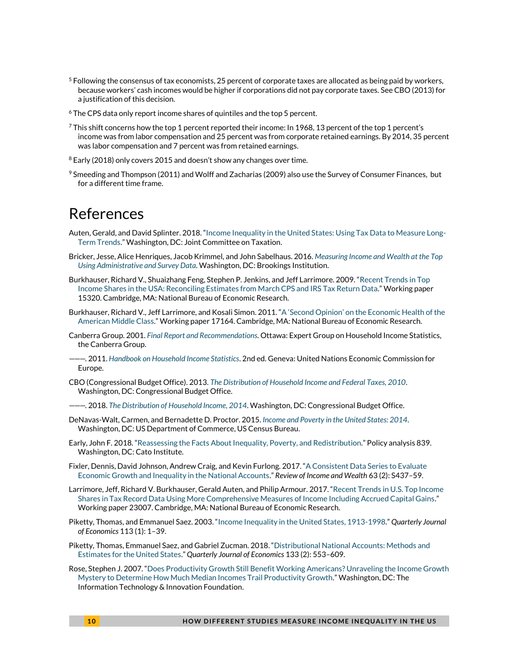- $5$  Following the consensus of tax economists, 25 percent of corporate taxes are allocated as being paid by workers, because workers' cash incomes would be higher if corporations did not pay corporate taxes. See CBO (2013) for a justification of this decision.
- <sup>6</sup> The CPS data only report income shares of quintiles and the top 5 percent.
- $^7$ This shift concerns how the top 1 percent reported their income: In 1968, 13 percent of the top 1 percent's income was from labor compensation and 25 percent was from corporate retained earnings. By 2014, 35 percent was labor compensation and 7 percent was from retained earnings.
- <sup>8</sup> Early (2018) only covers 2015 and doesn't show any changes over time.
- $9$  Smeeding and Thompson (2011) and Wolff and Zacharias (2009) also use the Survey of Consumer Finances, but for a different time frame.

### References

- Auten, Gerald, and David Splinter. 2018. "[Income Inequality in the United States: Using Tax Data to Measure Long-](http://davidsplinter.com/AutenSplinter-Tax_Data_and_Inequality.pdf)[Term Trends.](http://davidsplinter.com/AutenSplinter-Tax_Data_and_Inequality.pdf)" Washington, DC: Joint Committee on Taxation.
- Bricker, Jesse, Alice Henriques, Jacob Krimmel, and John Sabelhaus. 2016. *[Measuring Income and Wealth at the Top](https://www.brookings.edu/bpea-articles/measuring-income-and-wealth-at-the-top-using-administrative-and-survey-data/)  [Using Administrative and Survey Data](https://www.brookings.edu/bpea-articles/measuring-income-and-wealth-at-the-top-using-administrative-and-survey-data/)*. Washington, DC: Brookings Institution.
- Burkhauser, Richard V., Shuaizhang Feng, Stephen P. Jenkins, and Jeff Larrimore. 2009. "[Recent Trends in Top](http://www.nber.org/papers/w15320)  [Income Shares in the USA: Reconciling Estimates from March CPS and IRS Tax Return Data](http://www.nber.org/papers/w15320)." Working paper 15320. Cambridge, MA: National Bureau of Economic Research.
- Burkhauser, Richard V., Jeff Larrimore, and Kosali Simon. 2011. "A 'Second Opinion' [on the Economic Health of the](http://www.nber.org/papers/w17164)  [American Middle Class](http://www.nber.org/papers/w17164)." Working paper 17164. Cambridge, MA: National Bureau of Economic Research.
- Canberra Group. 2001. *[Final Report and Recommendations](http://www.lisdatacenter.org/wp-content/uploads/canberra_report.pdf)*. Ottawa: Expert Group on Household Income Statistics, the Canberra Group.
- ———. 2011. *[Handbook on Household Income Statistics](https://www.unece.org/fileadmin/DAM/stats/groups/cgh/Canbera_Handbook_2011_WEB.pdf)*. 2nd ed. Geneva: United Nations Economic Commission for Europe.
- CBO (Congressional Budget Office). 2013. *[The Distribution of Household Income and Federal Taxes, 2010](https://www.cbo.gov/publication/44604)*. Washington, DC: Congressional Budget Office.
- ———. 2018. *[The Distribution of Household Income, 2014](https://www.cbo.gov/publication/53597)*. Washington, DC: Congressional Budget Office.
- DeNavas-Walt, Carmen, and Bernadette D. Proctor. 2015. *[Income and Poverty in the United States: 2014](https://www.census.gov/content/dam/Census/library/publications/2015/demo/p60-252.pdf)*. Washington, DC: US Department of Commerce, US Census Bureau.
- Early, John F. 2018. "[Reassessing the Facts About Inequality, Poverty,](https://www.cato.org/publications/policy-analysis/reassessing-facts-about-inequality-poverty-redistribution) and Redistribution." Policy analysis 839. Washington, DC: Cato Institute.
- Fixler, Dennis, David Johnson, Andrew Craig, and Kevin Furlong. 2017. "[A Consistent Data Series to Evaluate](https://doi.org/10.1111/roiw.12324)  [Economic Growth and Inequality in the National Accounts](https://doi.org/10.1111/roiw.12324)." *Review of Income and Wealth* 63 (2): S437–59.
- Larrimore, Jeff, Richard V. Burkhauser, Gerald Auten, and Philip Armour. 2017. "[Recent Trends in U.S. Top Income](http://www.nber.org/papers/w23007)  [Shares in Tax Record Data Using More Comprehensive Measures of Income Including Accrued Capital Gains](http://www.nber.org/papers/w23007)." Working paper 23007. Cambridge, MA: National Bureau of Economic Research.
- Piketty, Thomas, and Emmanuel Saez. 2003. "[Income Inequality in the United States, 1913-1998](https://doi.org/10.1162/00335530360535135)." *Quarterly Journal of Economics* 113 (1): 1–39.
- Piketty, Thomas, Emmanuel Saez, and Gabriel Zucman. 2018."[Distributional National Accounts: Methods and](https://doi.org/10.1093/qje/qjx043)  [Estimates for the United States](https://doi.org/10.1093/qje/qjx043)." *Quarterly Journal of Economics* 133 (2): 553–609.
- Rose, Stephen J. 2007. "[Does Productivity Growth Still Benefit Working Americans? Unraveling the Income Growth](https://itif.org/publications/2007/06/13/does-productivity-growth-still-benefit-working-americans)  [Mystery to Determine How Much Median Incomes Trail Productivity Growth.](https://itif.org/publications/2007/06/13/does-productivity-growth-still-benefit-working-americans)" Washington, DC: The Information Technology & Innovation Foundation.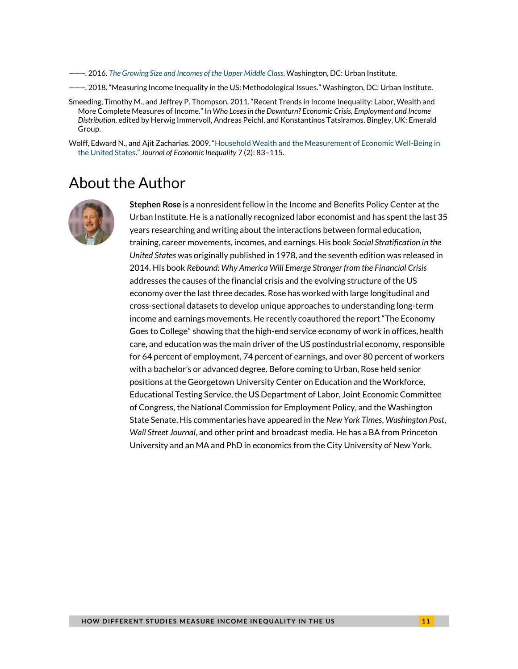———. 2016. *[The Growing Size and Incomes of the Upper Middle Class](https://www.urban.org/research/publication/growing-size-and-incomes-upper-middle-class)*. Washington, DC: Urban Institute.

———. 2018. "Measuring Income Inequality in the US: Methodological Issues." Washington, DC: Urban Institute.

Smeeding, Timothy M., and Jeffrey P. Thompson. 2011. "Recent Trends in Income Inequality: Labor, Wealth and More Complete Measures of Income." In *Who Loses in the Downturn? Economic Crisis, Employment and Income Distribution*, edited by Herwig Immervoll, Andreas Peichl, and Konstantinos Tatsiramos. Bingley, UK: Emerald Group.

Wolff, Edward N., and Ajit Zacharias. 2009. "[Household Wealth and the Measurement of Economic Well-Being in](http://piketty.pse.ens.fr/files/WolffZacharias2009.pdf)  [the United States.](http://piketty.pse.ens.fr/files/WolffZacharias2009.pdf)" *Journal of Economic Inequality* 7 (2): 83–115.

### About the Author



**Stephen Rose** is a nonresident fellow in the Income and Benefits Policy Center at the Urban Institute. He is a nationally recognized labor economist and has spent the last 35 years researching and writing about the interactions between formal education, training, career movements, incomes, and earnings. His book *Social Stratification in the United States* was originally published in 1978, and the seventh edition was released in 2014. His book *Rebound: Why America Will Emerge Stronger from the Financial Crisis* addresses the causes of the financial crisis and the evolving structure of the US economy over the last three decades. Rose has worked with large longitudinal and cross-sectional datasets to develop unique approaches to understanding long-term income and earnings movements. He recently coauthored the report "The Economy Goes to College" showing that the high-end service economy of work in offices, health care, and education was the main driver of the US postindustrial economy, responsible for 64 percent of employment, 74 percent of earnings, and over 80 percent of workers with a bachelor's or advanced degree. Before coming to Urban, Rose held senior positions at the Georgetown University Center on Education and the Workforce, Educational Testing Service, the US Department of Labor, Joint Economic Committee of Congress, the National Commission for Employment Policy, and the Washington State Senate. His commentaries have appeared in the *New York Times*, *Washington Post*, *Wall Street Journal*, and other print and broadcast media. He has a BA from Princeton University and an MA and PhD in economics from the City University of New York.